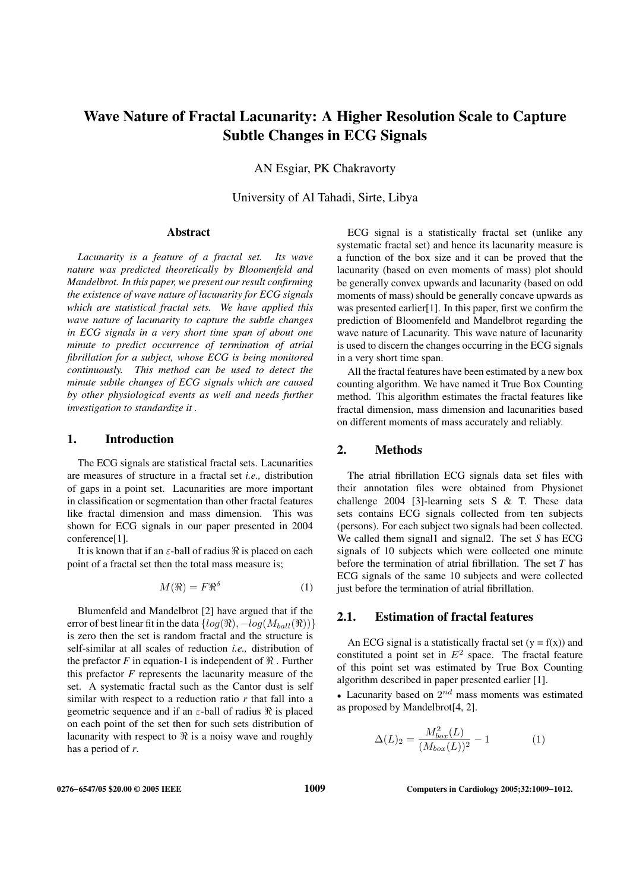# **Wave Nature of Fractal Lacunarity: A Higher Resolution Scale to Capture Subtle Changes in ECG Signals**

AN Esgiar, PK Chakravorty

University of Al Tahadi, Sirte, Libya

### **Abstract**

*Lacunarity is a feature of a fractal set. Its wave nature was predicted theoretically by Bloomenfeld and Mandelbrot. In this paper, we present our result confirming the existence of wave nature of lacunarity for ECG signals which are statistical fractal sets. We have applied this wave nature of lacunarity to capture the subtle changes in ECG signals in a very short time span of about one minute to predict occurrence of termination of atrial fibrillation for a subject, whose ECG is being monitored continuously. This method can be used to detect the minute subtle changes of ECG signals which are caused by other physiological events as well and needs further investigation to standardize it .*

### **1. Introduction**

The ECG signals are statistical fractal sets. Lacunarities are measures of structure in a fractal set *i.e.,* distribution of gaps in a point set. Lacunarities are more important in classification or segmentation than other fractal features like fractal dimension and mass dimension. This was shown for ECG signals in our paper presented in 2004 conference[1].

It is known that if an  $\varepsilon$ -ball of radius  $\Re$  is placed on each point of a fractal set then the total mass measure is;

$$
M(\Re) = F\Re^{\delta} \tag{1}
$$

Blumenfeld and Mandelbrot [2] have argued that if the error of best linear fit in the data  $\{log(\Re), -log(M_{ball}(\Re))\}$ is zero then the set is random fractal and the structure is self-similar at all scales of reduction *i.e.,* distribution of the prefactor  $F$  in equation-1 is independent of  $\Re$ . Further this prefactor *F* represents the lacunarity measure of the set. A systematic fractal such as the Cantor dust is self similar with respect to a reduction ratio *r* that fall into a geometric sequence and if an  $\varepsilon$ -ball of radius  $\Re$  is placed on each point of the set then for such sets distribution of lacunarity with respect to  $\Re$  is a noisy wave and roughly has a period of *r*.

ECG signal is a statistically fractal set (unlike any systematic fractal set) and hence its lacunarity measure is a function of the box size and it can be proved that the lacunarity (based on even moments of mass) plot should be generally convex upwards and lacunarity (based on odd moments of mass) should be generally concave upwards as was presented earlier[1]. In this paper, first we confirm the prediction of Bloomenfeld and Mandelbrot regarding the wave nature of Lacunarity. This wave nature of lacunarity is used to discern the changes occurring in the ECG signals in a very short time span.

All the fractal features have been estimated by a new box counting algorithm. We have named it True Box Counting method. This algorithm estimates the fractal features like fractal dimension, mass dimension and lacunarities based on different moments of mass accurately and reliably.

## **2. Methods**

The atrial fibrillation ECG signals data set files with their annotation files were obtained from Physionet challenge 2004 [3]-learning sets S & T. These data sets contains ECG signals collected from ten subjects (persons). For each subject two signals had been collected. We called them signal1 and signal2. The set *S* has ECG signals of 10 subjects which were collected one minute before the termination of atrial fibrillation. The set *T* has ECG signals of the same 10 subjects and were collected just before the termination of atrial fibrillation.

### **2.1. Estimation of fractal features**

An ECG signal is a statistically fractal set  $(y = f(x))$  and constituted a point set in  $E^2$  space. The fractal feature of this point set was estimated by True Box Counting algorithm described in paper presented earlier [1].

• Lacunarity based on  $2^{nd}$  mass moments was estimated as proposed by Mandelbrot[4, 2].

$$
\Delta(L)_2 = \frac{M_{box}^2(L)}{(M_{box}(L))^2} - 1
$$
 (1)

**0276−6547/05 \$20.00 © 2005 IEEE 1009 Computers in Cardiology 2005;32:1009−1012.**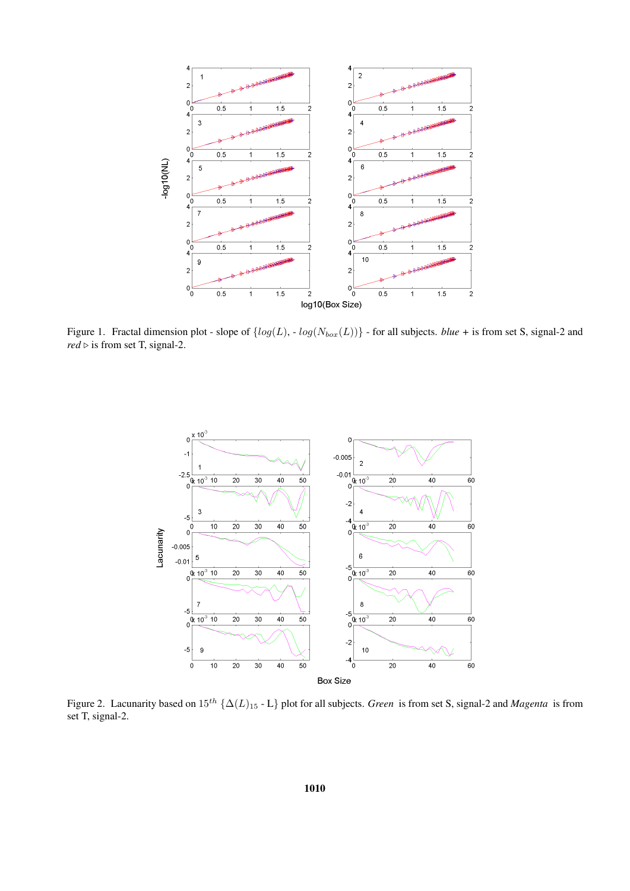

Figure 1. Fractal dimension plot - slope of  $\{log(L), -log(N_{box}(L))\}$  - for all subjects. *blue* + is from set S, signal-2 and  $red \triangleright$  is from set T, signal-2.



Figure 2. Lacunarity based on 15th {∆(L)<sup>15</sup> - L} plot for all subjects. *Green* is from set S, signal-2 and *Magenta* is from set T, signal-2.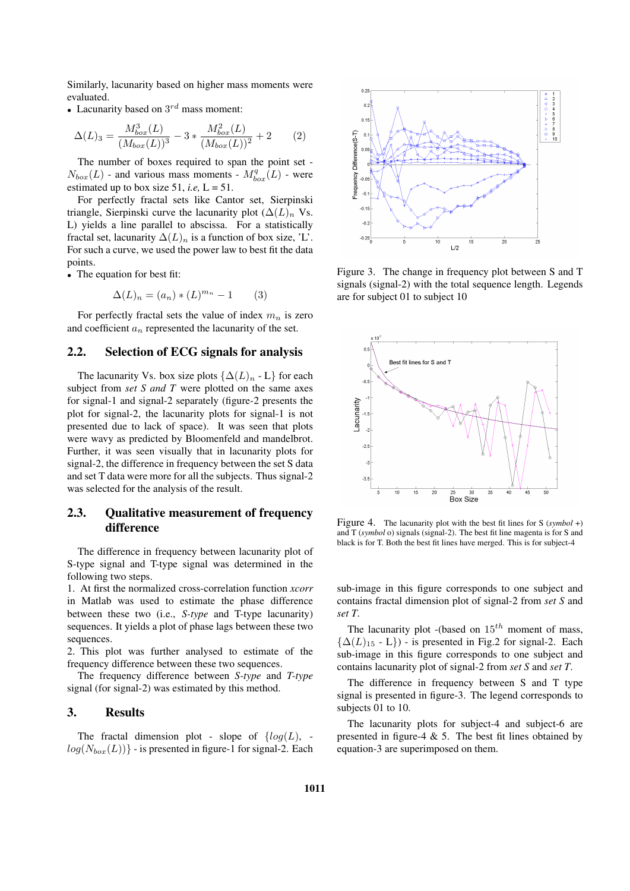Similarly, lacunarity based on higher mass moments were evaluated.

• Lacunarity based on  $3^{rd}$  mass moment:

$$
\Delta(L)_3 = \frac{M_{box}^3(L)}{(M_{box}(L))^3} - 3 * \frac{M_{box}^2(L)}{(M_{box}(L))^2} + 2
$$
 (2)

The number of boxes required to span the point set -  $N_{box}(L)$  - and various mass moments -  $M_{box}^q(L)$  - were estimated up to box size 51, *i.e*,  $L = 51$ .

For perfectly fractal sets like Cantor set, Sierpinski triangle, Sierpinski curve the lacunarity plot  $(\Delta(L)_n)$  Vs. L) yields a line parallel to abscissa. For a statistically fractal set, lacunarity  $\Delta(L)_n$  is a function of box size, 'L'. For such a curve, we used the power law to best fit the data points.

• The equation for best fit:

$$
\Delta(L)_n = (a_n) * (L)^{m_n} - 1 \qquad (3)
$$

For perfectly fractal sets the value of index  $m_n$  is zero and coefficient  $a_n$  represented the lacunarity of the set.

### **2.2. Selection of ECG signals for analysis**

The lacunarity Vs. box size plots  $\{\Delta(L)_n - L\}$  for each subject from *set S and T* were plotted on the same axes for signal-1 and signal-2 separately (figure-2 presents the plot for signal-2, the lacunarity plots for signal-1 is not presented due to lack of space). It was seen that plots were wavy as predicted by Bloomenfeld and mandelbrot. Further, it was seen visually that in lacunarity plots for signal-2, the difference in frequency between the set S data and set T data were more for all the subjects. Thus signal-2 was selected for the analysis of the result.

# **2.3. Qualitative measurement of frequency difference**

The difference in frequency between lacunarity plot of S-type signal and T-type signal was determined in the following two steps.

1. At first the normalized cross-correlation function *xcorr* in Matlab was used to estimate the phase difference between these two (i.e., *S-type* and T-type lacunarity) sequences. It yields a plot of phase lags between these two sequences.

2. This plot was further analysed to estimate of the frequency difference between these two sequences.

The frequency difference between *S-type* and *T-type* signal (for signal-2) was estimated by this method.

# **3. Results**

The fractal dimension plot - slope of  $\{log(L),$  $log(N_{box}(L))$  - is presented in figure-1 for signal-2. Each



Figure 3. The change in frequency plot between S and T signals (signal-2) with the total sequence length. Legends are for subject 01 to subject 10



Figure 4. The lacunarity plot with the best fit lines for S (*symbol* +) and T (*symbol* o) signals (signal-2). The best fit line magenta is for S and black is for T. Both the best fit lines have merged. This is for subject-4

sub-image in this figure corresponds to one subject and contains fractal dimension plot of signal-2 from *set S* and *set T*.

The lacunarity plot -(based on  $15^{th}$  moment of mass,  ${\Delta(L)_{15}}$  - L}) - is presented in Fig.2 for signal-2. Each sub-image in this figure corresponds to one subject and contains lacunarity plot of signal-2 from *set S* and *set T*.

The difference in frequency between S and T type signal is presented in figure-3. The legend corresponds to subjects 01 to 10.

The lacunarity plots for subject-4 and subject-6 are presented in figure-4  $\&$  5. The best fit lines obtained by equation-3 are superimposed on them.